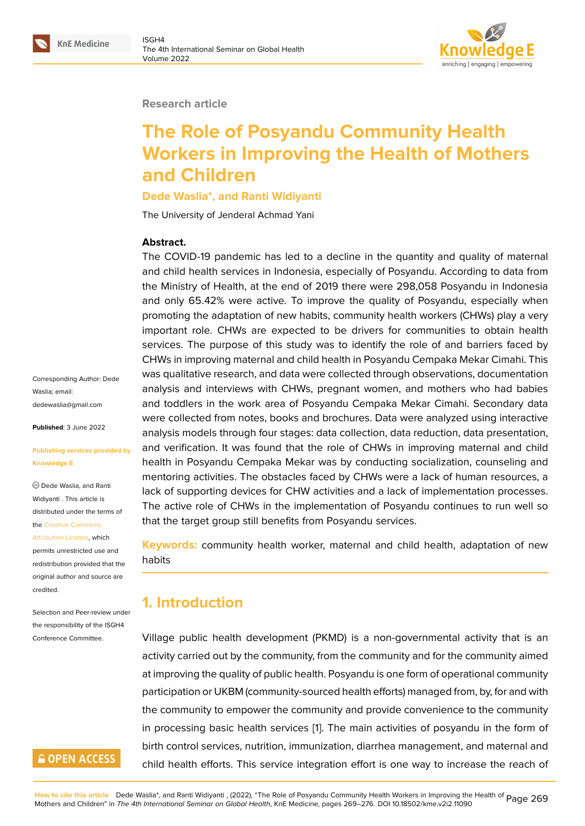#### **Research article**

# **The Role of Posyandu Community Health Workers in Improving the Health of Mothers and Children**

#### **Dede Waslia\*, and Ranti Widiyanti**

The University of Jenderal Achmad Yani

#### **Abstract.**

The COVID-19 pandemic has led to a decline in the quantity and quality of maternal and child health services in Indonesia, especially of Posyandu. According to data from the Ministry of Health, at the end of 2019 there were 298,058 Posyandu in Indonesia and only 65.42% were active. To improve the quality of Posyandu, especially when promoting the adaptation of new habits, community health workers (CHWs) play a very important role. CHWs are expected to be drivers for communities to obtain health services. The purpose of this study was to identify the role of and barriers faced by CHWs in improving maternal and child health in Posyandu Cempaka Mekar Cimahi. This was qualitative research, and data were collected through observations, documentation analysis and interviews with CHWs, pregnant women, and mothers who had babies and toddlers in the work area of Posyandu Cempaka Mekar Cimahi. Secondary data were collected from notes, books and brochures. Data were analyzed using interactive analysis models through four stages: data collection, data reduction, data presentation, and verification. It was found that the role of CHWs in improving maternal and child health in Posyandu Cempaka Mekar was by conducting socialization, counseling and mentoring activities. The obstacles faced by CHWs were a lack of human resources, a lack of supporting devices for CHW activities and a lack of implementation processes. The active role of CHWs in the implementation of Posyandu continues to run well so that the target group still benefits from Posyandu services.

**Keywords:** community health worker, maternal and child health, adaptation of new habits

# **1. Introduction**

Village public health development (PKMD) is a non-governmental activity that is an activity carried out by the community, from the community and for the community aimed at improving the quality of public health. Posyandu is one form of operational community participation or UKBM (community-sourced health efforts) managed from, by, for and with the community to empower the community and provide convenience to the community in processing basic health services [1]. The main activities of posyandu in the form of birth control services, nutrition, immunization, diarrhea management, and maternal and child health efforts. This service integration effort is one way to increase the reach of

Corresponding Author: Dede Waslia; email: dedewaslia@gmail.com

**Published**: 3 June 2022

#### **[Publishing services pro](mailto:dedewaslia@gmail.com)vided by Knowledge E**

Dede Waslia, and Ranti Widiyanti . This article is distributed under the terms of the Creative Commons

Attribution License, which permits unrestricted use and redistribution provided that the orig[inal author and sou](https://creativecommons.org/licenses/by/4.0/)rce are [credited.](https://creativecommons.org/licenses/by/4.0/)

Selection and Peer-review under the responsibility of the ISGH4 Conference Committee.

# **GOPEN ACCESS**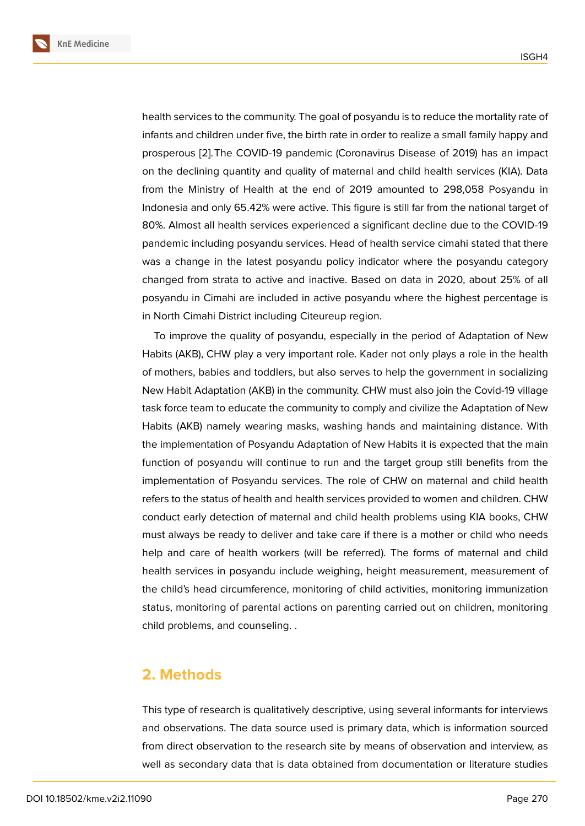health services to the community. The goal of posyandu is to reduce the mortality rate of infants and children under five, the birth rate in order to realize a small family happy and prosperous [2].The COVID-19 pandemic (Coronavirus Disease of 2019) has an impact on the declining quantity and quality of maternal and child health services (KIA). Data from the Ministry of Health at the end of 2019 amounted to 298,058 Posyandu in Indonesia a[nd](#page-6-0) only 65.42% were active. This figure is still far from the national target of 80%. Almost all health services experienced a significant decline due to the COVID-19 pandemic including posyandu services. Head of health service cimahi stated that there was a change in the latest posyandu policy indicator where the posyandu category changed from strata to active and inactive. Based on data in 2020, about 25% of all posyandu in Cimahi are included in active posyandu where the highest percentage is in North Cimahi District including Citeureup region.

To improve the quality of posyandu, especially in the period of Adaptation of New Habits (AKB), CHW play a very important role. Kader not only plays a role in the health of mothers, babies and toddlers, but also serves to help the government in socializing New Habit Adaptation (AKB) in the community. CHW must also join the Covid-19 village task force team to educate the community to comply and civilize the Adaptation of New Habits (AKB) namely wearing masks, washing hands and maintaining distance. With the implementation of Posyandu Adaptation of New Habits it is expected that the main function of posyandu will continue to run and the target group still benefits from the implementation of Posyandu services. The role of CHW on maternal and child health refers to the status of health and health services provided to women and children. CHW conduct early detection of maternal and child health problems using KIA books, CHW must always be ready to deliver and take care if there is a mother or child who needs help and care of health workers (will be referred). The forms of maternal and child health services in posyandu include weighing, height measurement, measurement of the child's head circumference, monitoring of child activities, monitoring immunization status, monitoring of parental actions on parenting carried out on children, monitoring child problems, and counseling. .

### **2. Methods**

This type of research is qualitatively descriptive, using several informants for interviews and observations. The data source used is primary data, which is information sourced from direct observation to the research site by means of observation and interview, as well as secondary data that is data obtained from documentation or literature studies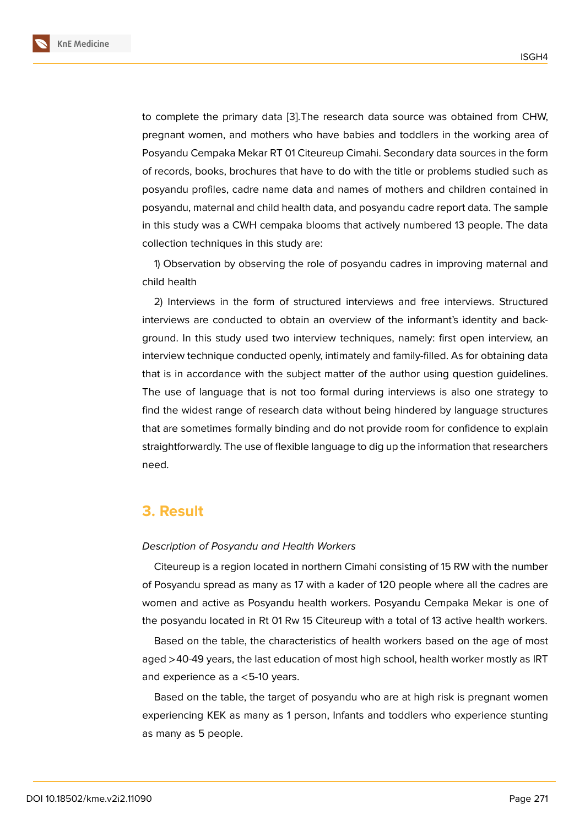to complete the primary data [3].The research data source was obtained from CHW, pregnant women, and mothers who have babies and toddlers in the working area of Posyandu Cempaka Mekar RT 01 Citeureup Cimahi. Secondary data sources in the form of records, books, brochures th[at](#page-7-0) have to do with the title or problems studied such as posyandu profiles, cadre name data and names of mothers and children contained in posyandu, maternal and child health data, and posyandu cadre report data. The sample in this study was a CWH cempaka blooms that actively numbered 13 people. The data collection techniques in this study are:

1) Observation by observing the role of posyandu cadres in improving maternal and child health

2) Interviews in the form of structured interviews and free interviews. Structured interviews are conducted to obtain an overview of the informant's identity and background. In this study used two interview techniques, namely: first open interview, an interview technique conducted openly, intimately and family-filled. As for obtaining data that is in accordance with the subject matter of the author using question guidelines. The use of language that is not too formal during interviews is also one strategy to find the widest range of research data without being hindered by language structures that are sometimes formally binding and do not provide room for confidence to explain straightforwardly. The use of flexible language to dig up the information that researchers need.

### **3. Result**

#### *Description of Posyandu and Health Workers*

Citeureup is a region located in northern Cimahi consisting of 15 RW with the number of Posyandu spread as many as 17 with a kader of 120 people where all the cadres are women and active as Posyandu health workers. Posyandu Cempaka Mekar is one of the posyandu located in Rt 01 Rw 15 Citeureup with a total of 13 active health workers.

Based on the table, the characteristics of health workers based on the age of most aged >40-49 years, the last education of most high school, health worker mostly as IRT and experience as a <5-10 years.

Based on the table, the target of posyandu who are at high risk is pregnant women experiencing KEK as many as 1 person, Infants and toddlers who experience stunting as many as 5 people.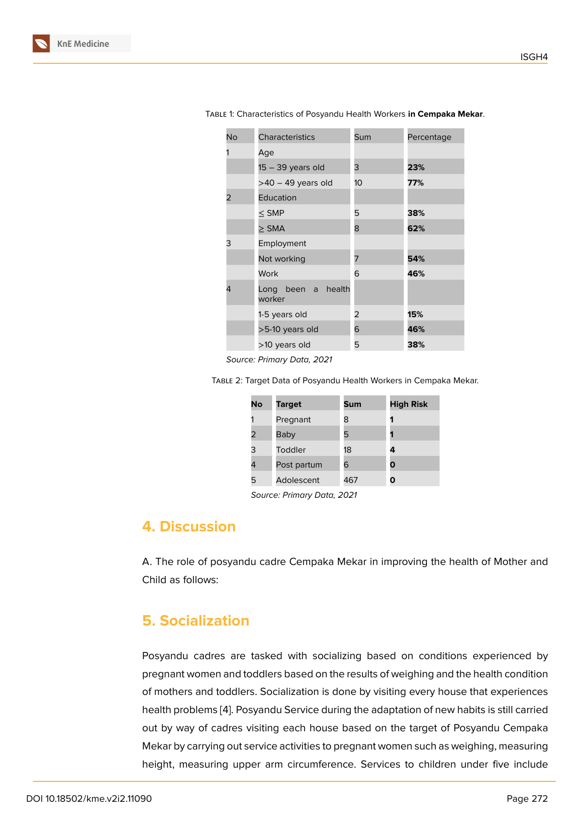| <b>No</b> | Characteristics              | Sum | Percentage |
|-----------|------------------------------|-----|------------|
|           | Age                          |     |            |
|           | $15 - 39$ years old          | 3   | 23%        |
|           | $>40 - 49$ years old         | 10  | 77%        |
| 2         | Education                    |     |            |
|           | $<$ SMP                      | 5   | 38%        |
|           | $>$ SMA                      | 8   | 62%        |
| 3         | Employment                   |     |            |
|           | Not working                  | 7   | 54%        |
|           | Work                         | 6   | 46%        |
| 4         | Long been a health<br>worker |     |            |
|           | 1-5 years old                | 2   | 15%        |
|           | >5-10 years old              | 6   | 46%        |
|           | >10 years old                | 5   | 38%        |

Table 1: Characteristics of Posyandu Health Workers **in Cempaka Mekar**.

*Source: Primary Data, 2021*

Table 2: Target Data of Posyandu Health Workers in Cempaka Mekar.

| No | <b>Target</b> | Sum | <b>High Risk</b> |
|----|---------------|-----|------------------|
|    | Pregnant      | 8   | 1                |
| 2  | Baby          | 5   | 1                |
| 3  | Toddler       | 18  | 4                |
| 4  | Post partum   | 6   | Ο                |
| 5  | Adolescent    | 467 | ი                |

*Source: Primary Data, 2021*

## **4. Discussion**

A. The role of posyandu cadre Cempaka Mekar in improving the health of Mother and Child as follows:

### **5. Socialization**

Posyandu cadres are tasked with socializing based on conditions experienced by pregnant women and toddlers based on the results of weighing and the health condition of mothers and toddlers. Socialization is done by visiting every house that experiences health problems [4]. Posyandu Service during the adaptation of new habits is still carried out by way of cadres visiting each house based on the target of Posyandu Cempaka Mekar by carrying out service activities to pregnant women such as weighing, measuring height, measurin[g](#page-7-1) upper arm circumference. Services to children under five include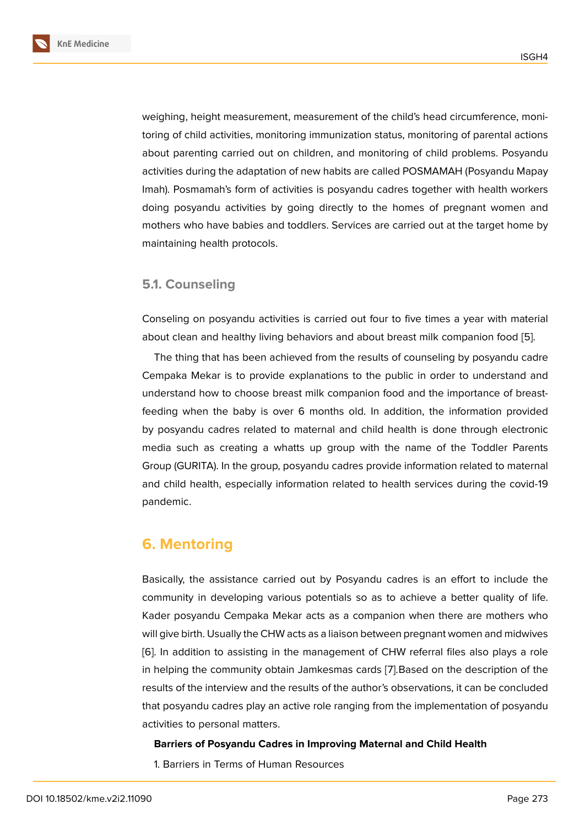weighing, height measurement, measurement of the child's head circumference, monitoring of child activities, monitoring immunization status, monitoring of parental actions about parenting carried out on children, and monitoring of child problems. Posyandu activities during the adaptation of new habits are called POSMAMAH (Posyandu Mapay Imah). Posmamah's form of activities is posyandu cadres together with health workers doing posyandu activities by going directly to the homes of pregnant women and mothers who have babies and toddlers. Services are carried out at the target home by maintaining health protocols.

### **5.1. Counseling**

Conseling on posyandu activities is carried out four to five times a year with material about clean and healthy living behaviors and about breast milk companion food [5].

The thing that has been achieved from the results of counseling by posyandu cadre Cempaka Mekar is to provide explanations to the public in order to understand and understand how to choose breast milk companion food and the importance of b[re](#page-7-2)astfeeding when the baby is over 6 months old. In addition, the information provided by posyandu cadres related to maternal and child health is done through electronic media such as creating a whatts up group with the name of the Toddler Parents Group (GURITA). In the group, posyandu cadres provide information related to maternal and child health, especially information related to health services during the covid-19 pandemic.

# **6. Mentoring**

Basically, the assistance carried out by Posyandu cadres is an effort to include the community in developing various potentials so as to achieve a better quality of life. Kader posyandu Cempaka Mekar acts as a companion when there are mothers who will give birth. Usually the CHW acts as a liaison between pregnant women and midwives [6]. In addition to assisting in the management of CHW referral files also plays a role in helping the community obtain Jamkesmas cards [7].Based on the description of the results of the interview and the results of the author's observations, it can be concluded [th](#page-7-3)at posyandu cadres play an active role ranging from the implementation of posyandu activities to personal matters.

#### **Barriers of Posyandu Cadres in Improving Maternal and Child Health**

1. Barriers in Terms of Human Resources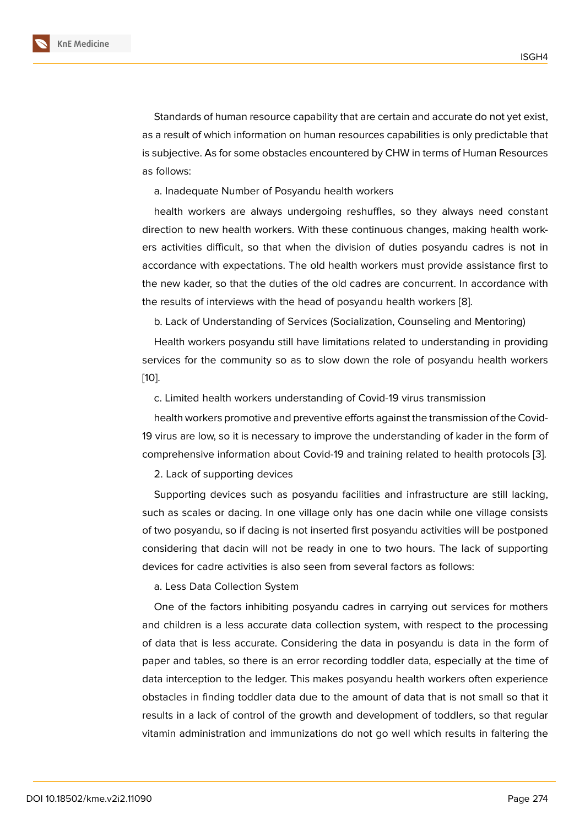Standards of human resource capability that are certain and accurate do not yet exist, as a result of which information on human resources capabilities is only predictable that is subjective. As for some obstacles encountered by CHW in terms of Human Resources as follows:

a. Inadequate Number of Posyandu health workers

health workers are always undergoing reshuffles, so they always need constant direction to new health workers. With these continuous changes, making health workers activities difficult, so that when the division of duties posyandu cadres is not in accordance with expectations. The old health workers must provide assistance first to the new kader, so that the duties of the old cadres are concurrent. In accordance with the results of interviews with the head of posyandu health workers [8].

b. Lack of Understanding of Services (Socialization, Counseling and Mentoring)

Health workers posyandu still have limitations related to understanding in providing services for the community so as to slow down the role of posya[nd](#page-7-4)u health workers [10].

c. Limited health workers understanding of Covid-19 virus transmission

health workers promotive and preventive efforts against the transmission of the Covid-[19 v](#page-7-5)irus are low, so it is necessary to improve the understanding of kader in the form of comprehensive information about Covid-19 and training related to health protocols [3].

2. Lack of supporting devices

Supporting devices such as posyandu facilities and infrastructure are still lacki[ng](#page-7-0), such as scales or dacing. In one village only has one dacin while one village consists of two posyandu, so if dacing is not inserted first posyandu activities will be postponed considering that dacin will not be ready in one to two hours. The lack of supporting devices for cadre activities is also seen from several factors as follows:

a. Less Data Collection System

One of the factors inhibiting posyandu cadres in carrying out services for mothers and children is a less accurate data collection system, with respect to the processing of data that is less accurate. Considering the data in posyandu is data in the form of paper and tables, so there is an error recording toddler data, especially at the time of data interception to the ledger. This makes posyandu health workers often experience obstacles in finding toddler data due to the amount of data that is not small so that it results in a lack of control of the growth and development of toddlers, so that regular vitamin administration and immunizations do not go well which results in faltering the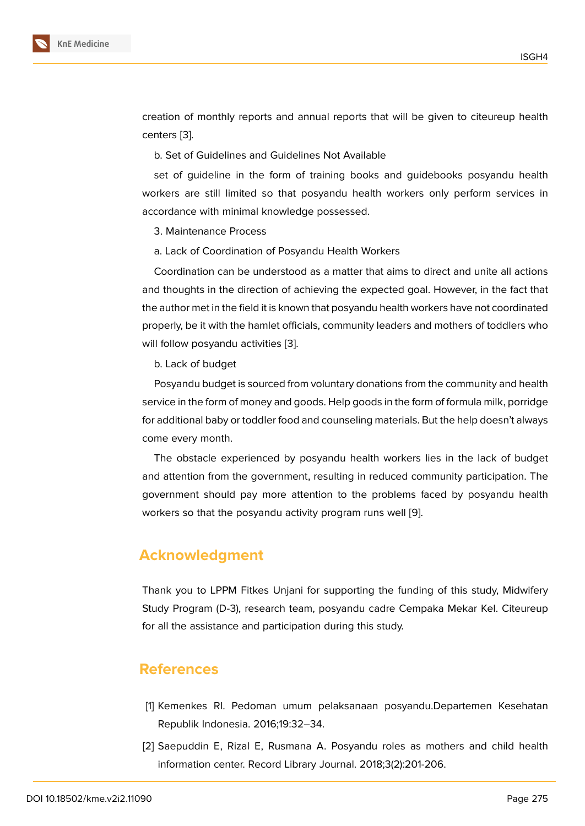creation of monthly reports and annual reports that will be given to citeureup health centers [3].

b. Set of Guidelines and Guidelines Not Available

set of [g](#page-7-0)uideline in the form of training books and guidebooks posyandu health workers are still limited so that posyandu health workers only perform services in accordance with minimal knowledge possessed.

3. Maintenance Process

a. Lack of Coordination of Posyandu Health Workers

Coordination can be understood as a matter that aims to direct and unite all actions and thoughts in the direction of achieving the expected goal. However, in the fact that the author met in the field it is known that posyandu health workers have not coordinated properly, be it with the hamlet officials, community leaders and mothers of toddlers who will follow posyandu activities [3].

b. Lack of budget

Posyandu budget is sourced from voluntary donations from the community and health service in the form of money an[d](#page-7-0) goods. Help goods in the form of formula milk, porridge for additional baby or toddler food and counseling materials. But the help doesn't always come every month.

The obstacle experienced by posyandu health workers lies in the lack of budget and attention from the government, resulting in reduced community participation. The government should pay more attention to the problems faced by posyandu health workers so that the posyandu activity program runs well [9].

## **Acknowledgment**

Thank you to LPPM Fitkes Unjani for supporting the funding of this study, Midwifery Study Program (D-3), research team, posyandu cadre Cempaka Mekar Kel. Citeureup for all the assistance and participation during this study.

### **References**

- [1] Kemenkes RI. Pedoman umum pelaksanaan posyandu.Departemen Kesehatan Republik Indonesia. 2016;19:32–34.
- <span id="page-6-0"></span>[2] Saepuddin E, Rizal E, Rusmana A. Posyandu roles as mothers and child health information center. Record Library Journal. 2018;3(2):201-206.